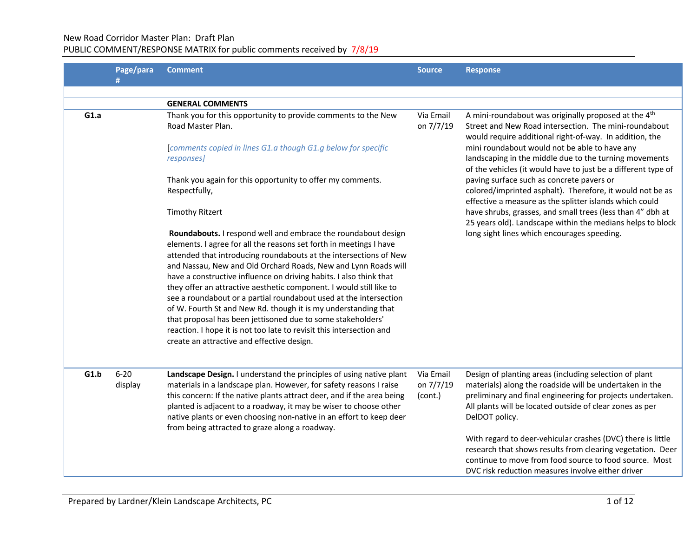# New Road Corridor Master Plan: Draft Plan

## PUBLIC COMMENT/RESPONSE MATRIX for public comments received by 7/8/19

|      | Page/para           | <b>Comment</b>                                                                                                                                                                                                                                                                                                                                                                                                                                                                                                                                                                                                                                                                                                                                      | <b>Source</b>                     | <b>Response</b>                                                                                                                                                                                                                                               |
|------|---------------------|-----------------------------------------------------------------------------------------------------------------------------------------------------------------------------------------------------------------------------------------------------------------------------------------------------------------------------------------------------------------------------------------------------------------------------------------------------------------------------------------------------------------------------------------------------------------------------------------------------------------------------------------------------------------------------------------------------------------------------------------------------|-----------------------------------|---------------------------------------------------------------------------------------------------------------------------------------------------------------------------------------------------------------------------------------------------------------|
|      | #                   |                                                                                                                                                                                                                                                                                                                                                                                                                                                                                                                                                                                                                                                                                                                                                     |                                   |                                                                                                                                                                                                                                                               |
|      |                     | <b>GENERAL COMMENTS</b>                                                                                                                                                                                                                                                                                                                                                                                                                                                                                                                                                                                                                                                                                                                             |                                   |                                                                                                                                                                                                                                                               |
| G1.a |                     | Thank you for this opportunity to provide comments to the New<br>Road Master Plan.                                                                                                                                                                                                                                                                                                                                                                                                                                                                                                                                                                                                                                                                  | Via Email<br>on 7/7/19            | A mini-roundabout was originally proposed at the 4 <sup>th</sup><br>Street and New Road intersection. The mini-roundabout<br>would require additional right-of-way. In addition, the                                                                          |
|      |                     | comments copied in lines G1.a though G1.g below for specific<br>responses]                                                                                                                                                                                                                                                                                                                                                                                                                                                                                                                                                                                                                                                                          |                                   | mini roundabout would not be able to have any<br>landscaping in the middle due to the turning movements<br>of the vehicles (it would have to just be a different type of                                                                                      |
|      |                     | Thank you again for this opportunity to offer my comments.<br>Respectfully,                                                                                                                                                                                                                                                                                                                                                                                                                                                                                                                                                                                                                                                                         |                                   | paving surface such as concrete pavers or<br>colored/imprinted asphalt). Therefore, it would not be as<br>effective a measure as the splitter islands which could                                                                                             |
|      |                     | <b>Timothy Ritzert</b>                                                                                                                                                                                                                                                                                                                                                                                                                                                                                                                                                                                                                                                                                                                              |                                   | have shrubs, grasses, and small trees (less than 4" dbh at<br>25 years old). Landscape within the medians helps to block                                                                                                                                      |
|      |                     | Roundabouts. I respond well and embrace the roundabout design<br>elements. I agree for all the reasons set forth in meetings I have<br>attended that introducing roundabouts at the intersections of New<br>and Nassau, New and Old Orchard Roads, New and Lynn Roads will<br>have a constructive influence on driving habits. I also think that<br>they offer an attractive aesthetic component. I would still like to<br>see a roundabout or a partial roundabout used at the intersection<br>of W. Fourth St and New Rd. though it is my understanding that<br>that proposal has been jettisoned due to some stakeholders'<br>reaction. I hope it is not too late to revisit this intersection and<br>create an attractive and effective design. |                                   | long sight lines which encourages speeding.                                                                                                                                                                                                                   |
|      |                     |                                                                                                                                                                                                                                                                                                                                                                                                                                                                                                                                                                                                                                                                                                                                                     |                                   |                                                                                                                                                                                                                                                               |
| G1.b | $6 - 20$<br>display | Landscape Design. I understand the principles of using native plant<br>materials in a landscape plan. However, for safety reasons I raise<br>this concern: If the native plants attract deer, and if the area being<br>planted is adjacent to a roadway, it may be wiser to choose other<br>native plants or even choosing non-native in an effort to keep deer<br>from being attracted to graze along a roadway.                                                                                                                                                                                                                                                                                                                                   | Via Email<br>on 7/7/19<br>(cont.) | Design of planting areas (including selection of plant<br>materials) along the roadside will be undertaken in the<br>preliminary and final engineering for projects undertaken.<br>All plants will be located outside of clear zones as per<br>DelDOT policy. |
|      |                     |                                                                                                                                                                                                                                                                                                                                                                                                                                                                                                                                                                                                                                                                                                                                                     |                                   | With regard to deer-vehicular crashes (DVC) there is little<br>research that shows results from clearing vegetation. Deer<br>continue to move from food source to food source. Most<br>DVC risk reduction measures involve either driver                      |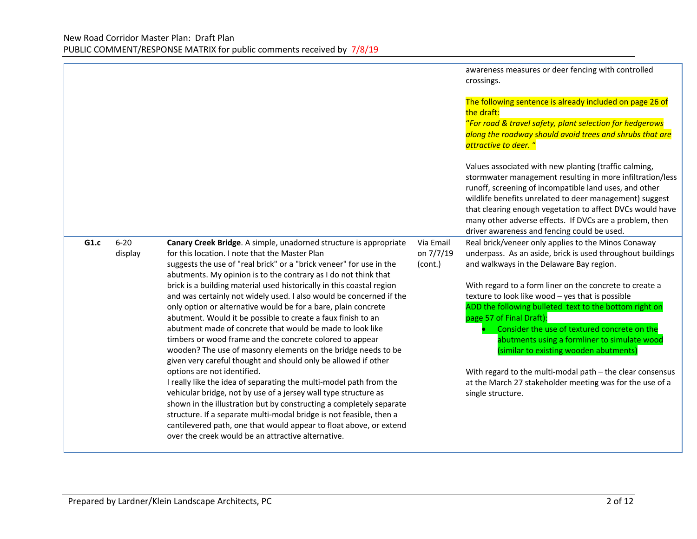|      |                     |                                                                                                                                                                                                                                                                                                                                                                                                                                                                                                                                                                                                                                                                                                                                                                                                                                                                                                                                                                                                                                                                                                                                                                                                                                                               |                                   | awareness measures or deer fencing with controlled<br>crossings.<br>The following sentence is already included on page 26 of<br>the draft:<br>"For road & travel safety, plant selection for hedgerows<br>along the roadway should avoid trees and shrubs that are<br>attractive to deer. "<br>Values associated with new planting (traffic calming,<br>stormwater management resulting in more infiltration/less<br>runoff, screening of incompatible land uses, and other<br>wildlife benefits unrelated to deer management) suggest<br>that clearing enough vegetation to affect DVCs would have<br>many other adverse effects. If DVCs are a problem, then<br>driver awareness and fencing could be used. |
|------|---------------------|---------------------------------------------------------------------------------------------------------------------------------------------------------------------------------------------------------------------------------------------------------------------------------------------------------------------------------------------------------------------------------------------------------------------------------------------------------------------------------------------------------------------------------------------------------------------------------------------------------------------------------------------------------------------------------------------------------------------------------------------------------------------------------------------------------------------------------------------------------------------------------------------------------------------------------------------------------------------------------------------------------------------------------------------------------------------------------------------------------------------------------------------------------------------------------------------------------------------------------------------------------------|-----------------------------------|---------------------------------------------------------------------------------------------------------------------------------------------------------------------------------------------------------------------------------------------------------------------------------------------------------------------------------------------------------------------------------------------------------------------------------------------------------------------------------------------------------------------------------------------------------------------------------------------------------------------------------------------------------------------------------------------------------------|
| G1.c | $6 - 20$<br>display | Canary Creek Bridge. A simple, unadorned structure is appropriate<br>for this location. I note that the Master Plan<br>suggests the use of "real brick" or a "brick veneer" for use in the<br>abutments. My opinion is to the contrary as I do not think that<br>brick is a building material used historically in this coastal region<br>and was certainly not widely used. I also would be concerned if the<br>only option or alternative would be for a bare, plain concrete<br>abutment. Would it be possible to create a faux finish to an<br>abutment made of concrete that would be made to look like<br>timbers or wood frame and the concrete colored to appear<br>wooden? The use of masonry elements on the bridge needs to be<br>given very careful thought and should only be allowed if other<br>options are not identified.<br>I really like the idea of separating the multi-model path from the<br>vehicular bridge, not by use of a jersey wall type structure as<br>shown in the illustration but by constructing a completely separate<br>structure. If a separate multi-modal bridge is not feasible, then a<br>cantilevered path, one that would appear to float above, or extend<br>over the creek would be an attractive alternative. | Via Email<br>on 7/7/19<br>(cont.) | Real brick/veneer only applies to the Minos Conaway<br>underpass. As an aside, brick is used throughout buildings<br>and walkways in the Delaware Bay region.<br>With regard to a form liner on the concrete to create a<br>texture to look like wood - yes that is possible<br>ADD the following bulleted text to the bottom right on<br>page 57 of Final Draft):<br>Consider the use of textured concrete on the<br>abutments using a formliner to simulate wood<br>(similar to existing wooden abutments)<br>With regard to the multi-modal path $-$ the clear consensus<br>at the March 27 stakeholder meeting was for the use of a<br>single structure.                                                  |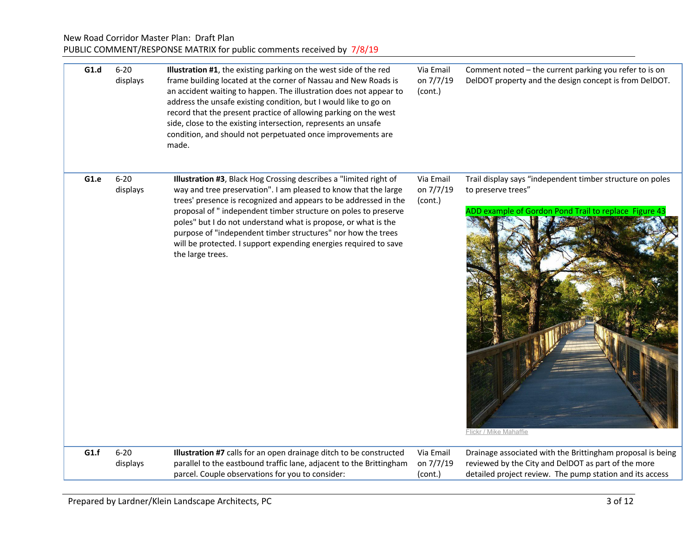## New Road Corridor Master Plan: Draft Plan PUBLIC COMMENT/RESPONSE MATRIX for public comments received by 7/8/19

| G1.d | $6 - 20$<br>displays | Illustration #1, the existing parking on the west side of the red<br>frame building located at the corner of Nassau and New Roads is<br>an accident waiting to happen. The illustration does not appear to<br>address the unsafe existing condition, but I would like to go on<br>record that the present practice of allowing parking on the west<br>side, close to the existing intersection, represents an unsafe<br>condition, and should not perpetuated once improvements are<br>made.          | Via Email<br>on 7/7/19<br>(cont.) | Comment noted - the current parking you refer to is on<br>DelDOT property and the design concept is from DelDOT.                                                              |
|------|----------------------|-------------------------------------------------------------------------------------------------------------------------------------------------------------------------------------------------------------------------------------------------------------------------------------------------------------------------------------------------------------------------------------------------------------------------------------------------------------------------------------------------------|-----------------------------------|-------------------------------------------------------------------------------------------------------------------------------------------------------------------------------|
| G1.e | $6 - 20$<br>displays | Illustration #3, Black Hog Crossing describes a "limited right of<br>way and tree preservation". I am pleased to know that the large<br>trees' presence is recognized and appears to be addressed in the<br>proposal of " independent timber structure on poles to preserve<br>poles" but I do not understand what is propose, or what is the<br>purpose of "independent timber structures" nor how the trees<br>will be protected. I support expending energies required to save<br>the large trees. | Via Email<br>on 7/7/19<br>(cont.) | Trail display says "independent timber structure on poles<br>to preserve trees"<br>ADD example of Gordon Pond Trail to replace Figure 43<br>Flickr / Mike Mahaffie            |
| G1.f | $6 - 20$<br>displays | Illustration #7 calls for an open drainage ditch to be constructed<br>parallel to the eastbound traffic lane, adjacent to the Brittingham<br>parcel. Couple observations for you to consider:                                                                                                                                                                                                                                                                                                         | Via Email<br>on 7/7/19<br>(cont.) | Drainage associated with the Brittingham proposal is being<br>reviewed by the City and DelDOT as part of the more<br>detailed project review. The pump station and its access |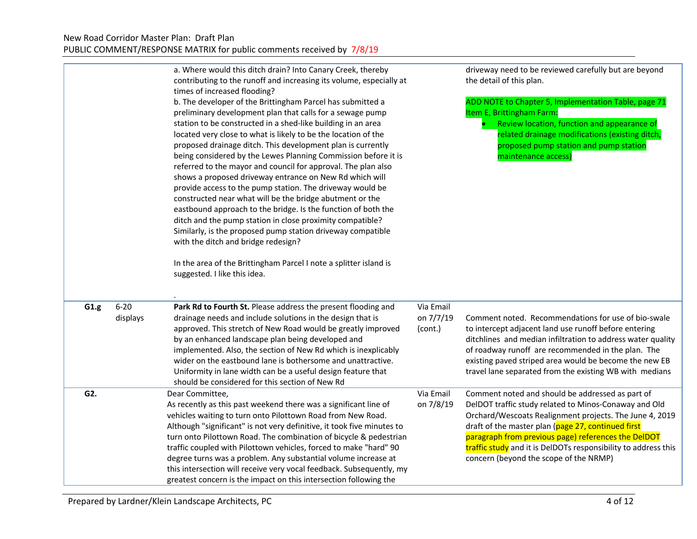|                              | a. Where would this ditch drain? Into Canary Creek, thereby<br>contributing to the runoff and increasing its volume, especially at<br>times of increased flooding?<br>b. The developer of the Brittingham Parcel has submitted a<br>preliminary development plan that calls for a sewage pump<br>station to be constructed in a shed-like building in an area<br>located very close to what is likely to be the location of the<br>proposed drainage ditch. This development plan is currently<br>being considered by the Lewes Planning Commission before it is<br>referred to the mayor and council for approval. The plan also<br>shows a proposed driveway entrance on New Rd which will<br>provide access to the pump station. The driveway would be<br>constructed near what will be the bridge abutment or the<br>eastbound approach to the bridge. Is the function of both the<br>ditch and the pump station in close proximity compatible?<br>Similarly, is the proposed pump station driveway compatible<br>with the ditch and bridge redesign?<br>In the area of the Brittingham Parcel I note a splitter island is<br>suggested. I like this idea. |                                   | driveway need to be reviewed carefully but are beyond<br>the detail of this plan.<br>ADD NOTE to Chapter 5, Implementation Table, page 71<br>Item E, Brittingham Farm:<br>Review location, function and appearance of<br>related drainage modifications (existing ditch,<br>proposed pump station and pump station<br>maintenance access)                                                     |
|------------------------------|----------------------------------------------------------------------------------------------------------------------------------------------------------------------------------------------------------------------------------------------------------------------------------------------------------------------------------------------------------------------------------------------------------------------------------------------------------------------------------------------------------------------------------------------------------------------------------------------------------------------------------------------------------------------------------------------------------------------------------------------------------------------------------------------------------------------------------------------------------------------------------------------------------------------------------------------------------------------------------------------------------------------------------------------------------------------------------------------------------------------------------------------------------------|-----------------------------------|-----------------------------------------------------------------------------------------------------------------------------------------------------------------------------------------------------------------------------------------------------------------------------------------------------------------------------------------------------------------------------------------------|
| $6 - 20$<br>G1.g<br>displays | Park Rd to Fourth St. Please address the present flooding and<br>drainage needs and include solutions in the design that is<br>approved. This stretch of New Road would be greatly improved<br>by an enhanced landscape plan being developed and<br>implemented. Also, the section of New Rd which is inexplicably<br>wider on the eastbound lane is bothersome and unattractive.<br>Uniformity in lane width can be a useful design feature that<br>should be considered for this section of New Rd                                                                                                                                                                                                                                                                                                                                                                                                                                                                                                                                                                                                                                                           | Via Email<br>on 7/7/19<br>(cont.) | Comment noted. Recommendations for use of bio-swale<br>to intercept adjacent land use runoff before entering<br>ditchlines and median infiltration to address water quality<br>of roadway runoff are recommended in the plan. The<br>existing paved striped area would be become the new EB<br>travel lane separated from the existing WB with medians                                        |
| G2.                          | Dear Committee,<br>As recently as this past weekend there was a significant line of<br>vehicles waiting to turn onto Pilottown Road from New Road.<br>Although "significant" is not very definitive, it took five minutes to<br>turn onto Pilottown Road. The combination of bicycle & pedestrian<br>traffic coupled with Pilottown vehicles, forced to make "hard" 90<br>degree turns was a problem. Any substantial volume increase at<br>this intersection will receive very vocal feedback. Subsequently, my<br>greatest concern is the impact on this intersection following the                                                                                                                                                                                                                                                                                                                                                                                                                                                                                                                                                                          | Via Email<br>on 7/8/19            | Comment noted and should be addressed as part of<br>DelDOT traffic study related to Minos-Conaway and Old<br>Orchard/Wescoats Realignment projects. The June 4, 2019<br>draft of the master plan (page 27, continued first<br>paragraph from previous page) references the DelDOT<br>traffic study and it is DelDOTs responsibility to address this<br>concern (beyond the scope of the NRMP) |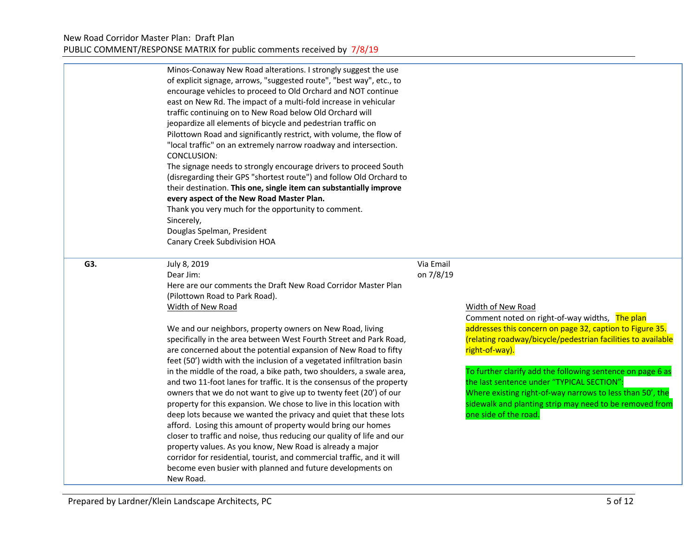|     | Minos-Conaway New Road alterations. I strongly suggest the use<br>of explicit signage, arrows, "suggested route", "best way", etc., to<br>encourage vehicles to proceed to Old Orchard and NOT continue<br>east on New Rd. The impact of a multi-fold increase in vehicular<br>traffic continuing on to New Road below Old Orchard will<br>jeopardize all elements of bicycle and pedestrian traffic on<br>Pilottown Road and significantly restrict, with volume, the flow of<br>"local traffic" on an extremely narrow roadway and intersection.<br>CONCLUSION:<br>The signage needs to strongly encourage drivers to proceed South<br>(disregarding their GPS "shortest route") and follow Old Orchard to<br>their destination. This one, single item can substantially improve<br>every aspect of the New Road Master Plan.<br>Thank you very much for the opportunity to comment.<br>Sincerely,<br>Douglas Spelman, President<br>Canary Creek Subdivision HOA                                                                                                                                                                                               |                        |                                                                                                                                                                                                                                                                                                                                                                                                                                                                                |
|-----|------------------------------------------------------------------------------------------------------------------------------------------------------------------------------------------------------------------------------------------------------------------------------------------------------------------------------------------------------------------------------------------------------------------------------------------------------------------------------------------------------------------------------------------------------------------------------------------------------------------------------------------------------------------------------------------------------------------------------------------------------------------------------------------------------------------------------------------------------------------------------------------------------------------------------------------------------------------------------------------------------------------------------------------------------------------------------------------------------------------------------------------------------------------|------------------------|--------------------------------------------------------------------------------------------------------------------------------------------------------------------------------------------------------------------------------------------------------------------------------------------------------------------------------------------------------------------------------------------------------------------------------------------------------------------------------|
| G3. | July 8, 2019<br>Dear Jim:<br>Here are our comments the Draft New Road Corridor Master Plan<br>(Pilottown Road to Park Road).<br>Width of New Road<br>We and our neighbors, property owners on New Road, living<br>specifically in the area between West Fourth Street and Park Road,<br>are concerned about the potential expansion of New Road to fifty<br>feet (50') width with the inclusion of a vegetated infiltration basin<br>in the middle of the road, a bike path, two shoulders, a swale area,<br>and two 11-foot lanes for traffic. It is the consensus of the property<br>owners that we do not want to give up to twenty feet (20') of our<br>property for this expansion. We chose to live in this location with<br>deep lots because we wanted the privacy and quiet that these lots<br>afford. Losing this amount of property would bring our homes<br>closer to traffic and noise, thus reducing our quality of life and our<br>property values. As you know, New Road is already a major<br>corridor for residential, tourist, and commercial traffic, and it will<br>become even busier with planned and future developments on<br>New Road. | Via Email<br>on 7/8/19 | Width of New Road<br>Comment noted on right-of-way widths, The plan<br>addresses this concern on page 32, caption to Figure 35.<br>(relating roadway/bicycle/pedestrian facilities to available<br>right-of-way).<br>To further clarify add the following sentence on page 6 as<br>the last sentence under "TYPICAL SECTION":<br>Where existing right-of-way narrows to less than 50', the<br>sidewalk and planting strip may need to be removed from<br>one side of the road. |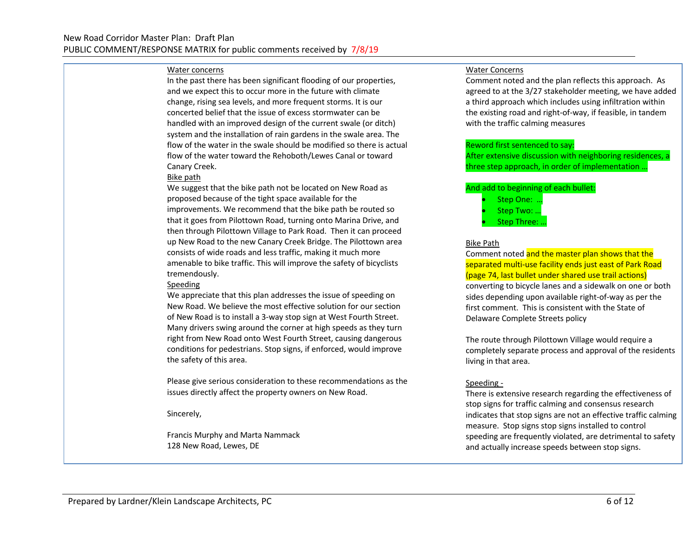#### Water concerns

In the past there has been significant flooding of our properties, and we expect this to occur more in the future with climate change, rising sea levels, and more frequent storms. It is our concerted belief that the issue of excess stormwater can be handled with an improved design of the current swale (or ditch) system and the installation of rain gardens in the swale area. The flow of the water in the swale should be modified so there is actual flow of the water toward the Rehoboth/Lewes Canal or toward Canary Creek.

#### Bike path

We suggest that the bike path not be located on New Road as proposed because of the tight space available for the improvements. We recommend that the bike path be routed so that it goes from Pilottown Road, turning onto Marina Drive, and then through Pilottown Village to Park Road. Then it can proceed up New Road to the new Canary Creek Bridge. The Pilottown area consists of wide roads and less traffic, making it much more amenable to bike traffic. This will improve the safety of bicyclists tremendously.

#### Speeding

We appreciate that this plan addresses the issue of speeding on New Road. We believe the most effective solution for our section of New Road is to install a 3-way stop sign at West Fourth Street. Many drivers swing around the corner at high speeds as they turn right from New Road onto West Fourth Street, causing dangerous conditions for pedestrians. Stop signs, if enforced, would improve the safety of this area.

Please give serious consideration to these recommendations as the issues directly affect the property owners on New Road.

Sincerely,

Francis Murphy and Marta Nammack 128 New Road, Lewes, DE

#### Water Concerns

Comment noted and the plan reflects this approach. As agreed to at the 3/27 stakeholder meeting, we have added a third approach which includes using infiltration within the existing road and right-of-way, if feasible, in tandem with the traffic calming measures

#### Reword first sentenced to say:

After extensive discussion with neighboring residences, a three step approach, in order of implementation …

#### And add to beginning of each bullet:

• Step One: …

• Step Two: …

• Step Three: …

#### Bike Path

Comment noted and the master plan shows that the separated multi-use facility ends just east of Park Road (page 74, last bullet under shared use trail actions) converting to bicycle lanes and a sidewalk on one or both sides depending upon available right-of-way as per the first comment. This is consistent with the State of Delaware Complete Streets policy

The route through Pilottown Village would require a completely separate process and approval of the residents living in that area.

#### Speeding -

There is extensive research regarding the effectiveness of stop signs for traffic calming and consensus research indicates that stop signs are not an effective traffic calming measure. Stop signs stop signs installed to control speeding are frequently violated, are detrimental to safety and actually increase speeds between stop signs.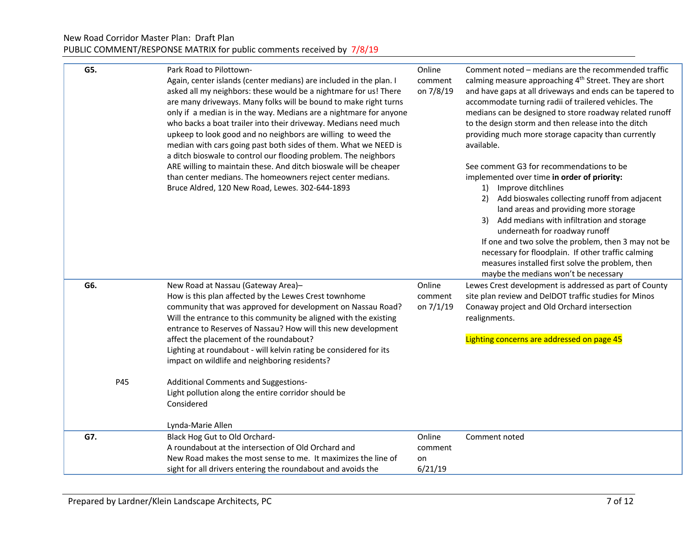| G5.        | Park Road to Pilottown-<br>Again, center islands (center medians) are included in the plan. I<br>asked all my neighbors: these would be a nightmare for us! There<br>are many driveways. Many folks will be bound to make right turns<br>only if a median is in the way. Medians are a nightmare for anyone<br>who backs a boat trailer into their driveway. Medians need much<br>upkeep to look good and no neighbors are willing to weed the<br>median with cars going past both sides of them. What we NEED is<br>a ditch bioswale to control our flooding problem. The neighbors<br>ARE willing to maintain these. And ditch bioswale will be cheaper<br>than center medians. The homeowners reject center medians.<br>Bruce Aldred, 120 New Road, Lewes. 302-644-1893 | Online<br>comment<br>on 7/8/19 | Comment noted – medians are the recommended traffic<br>calming measure approaching 4 <sup>th</sup> Street. They are short<br>and have gaps at all driveways and ends can be tapered to<br>accommodate turning radii of trailered vehicles. The<br>medians can be designed to store roadway related runoff<br>to the design storm and then release into the ditch<br>providing much more storage capacity than currently<br>available.<br>See comment G3 for recommendations to be<br>implemented over time in order of priority:<br>1) Improve ditchlines<br>Add bioswales collecting runoff from adjacent<br>2)<br>land areas and providing more storage<br>3) Add medians with infiltration and storage<br>underneath for roadway runoff<br>If one and two solve the problem, then 3 may not be<br>necessary for floodplain. If other traffic calming<br>measures installed first solve the problem, then<br>maybe the medians won't be necessary |
|------------|----------------------------------------------------------------------------------------------------------------------------------------------------------------------------------------------------------------------------------------------------------------------------------------------------------------------------------------------------------------------------------------------------------------------------------------------------------------------------------------------------------------------------------------------------------------------------------------------------------------------------------------------------------------------------------------------------------------------------------------------------------------------------|--------------------------------|-----------------------------------------------------------------------------------------------------------------------------------------------------------------------------------------------------------------------------------------------------------------------------------------------------------------------------------------------------------------------------------------------------------------------------------------------------------------------------------------------------------------------------------------------------------------------------------------------------------------------------------------------------------------------------------------------------------------------------------------------------------------------------------------------------------------------------------------------------------------------------------------------------------------------------------------------------|
| G6.<br>P45 | New Road at Nassau (Gateway Area)-<br>How is this plan affected by the Lewes Crest townhome<br>community that was approved for development on Nassau Road?<br>Will the entrance to this community be aligned with the existing<br>entrance to Reserves of Nassau? How will this new development<br>affect the placement of the roundabout?<br>Lighting at roundabout - will kelvin rating be considered for its<br>impact on wildlife and neighboring residents?<br>Additional Comments and Suggestions-<br>Light pollution along the entire corridor should be<br>Considered<br>Lynda-Marie Allen                                                                                                                                                                         | Online<br>comment<br>on 7/1/19 | Lewes Crest development is addressed as part of County<br>site plan review and DelDOT traffic studies for Minos<br>Conaway project and Old Orchard intersection<br>realignments.<br>Lighting concerns are addressed on page 45                                                                                                                                                                                                                                                                                                                                                                                                                                                                                                                                                                                                                                                                                                                      |
| G7.        | Black Hog Gut to Old Orchard-                                                                                                                                                                                                                                                                                                                                                                                                                                                                                                                                                                                                                                                                                                                                              | Online                         | Comment noted                                                                                                                                                                                                                                                                                                                                                                                                                                                                                                                                                                                                                                                                                                                                                                                                                                                                                                                                       |
|            | A roundabout at the intersection of Old Orchard and                                                                                                                                                                                                                                                                                                                                                                                                                                                                                                                                                                                                                                                                                                                        | comment                        |                                                                                                                                                                                                                                                                                                                                                                                                                                                                                                                                                                                                                                                                                                                                                                                                                                                                                                                                                     |
|            | New Road makes the most sense to me. It maximizes the line of                                                                                                                                                                                                                                                                                                                                                                                                                                                                                                                                                                                                                                                                                                              | on                             |                                                                                                                                                                                                                                                                                                                                                                                                                                                                                                                                                                                                                                                                                                                                                                                                                                                                                                                                                     |
|            | sight for all drivers entering the roundabout and avoids the                                                                                                                                                                                                                                                                                                                                                                                                                                                                                                                                                                                                                                                                                                               | 6/21/19                        |                                                                                                                                                                                                                                                                                                                                                                                                                                                                                                                                                                                                                                                                                                                                                                                                                                                                                                                                                     |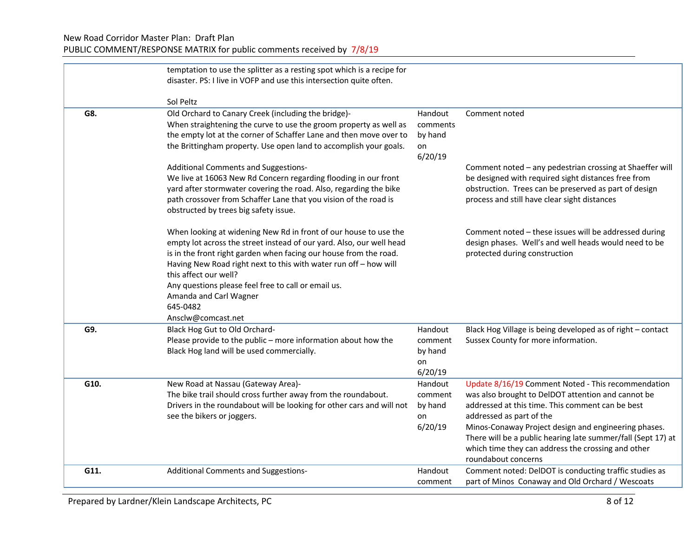## New Road Corridor Master Plan: Draft Plan PUBLIC COMMENT/RESPONSE MATRIX for public comments received by 7/8/19

|      | temptation to use the splitter as a resting spot which is a recipe for<br>disaster. PS: I live in VOFP and use this intersection quite often.<br>Sol Peltz                                                                                                                                                                                                                                                                    |                                                 |                                                                                                                                                                                                                                                                                                                                                                                               |
|------|-------------------------------------------------------------------------------------------------------------------------------------------------------------------------------------------------------------------------------------------------------------------------------------------------------------------------------------------------------------------------------------------------------------------------------|-------------------------------------------------|-----------------------------------------------------------------------------------------------------------------------------------------------------------------------------------------------------------------------------------------------------------------------------------------------------------------------------------------------------------------------------------------------|
| G8.  | Old Orchard to Canary Creek (including the bridge)-<br>When straightening the curve to use the groom property as well as<br>the empty lot at the corner of Schaffer Lane and then move over to<br>the Brittingham property. Use open land to accomplish your goals.                                                                                                                                                           | Handout<br>comments<br>by hand<br>on<br>6/20/19 | Comment noted                                                                                                                                                                                                                                                                                                                                                                                 |
|      | Additional Comments and Suggestions-<br>We live at 16063 New Rd Concern regarding flooding in our front<br>yard after stormwater covering the road. Also, regarding the bike<br>path crossover from Schaffer Lane that you vision of the road is<br>obstructed by trees big safety issue.                                                                                                                                     |                                                 | Comment noted - any pedestrian crossing at Shaeffer will<br>be designed with required sight distances free from<br>obstruction. Trees can be preserved as part of design<br>process and still have clear sight distances                                                                                                                                                                      |
|      | When looking at widening New Rd in front of our house to use the<br>empty lot across the street instead of our yard. Also, our well head<br>is in the front right garden when facing our house from the road.<br>Having New Road right next to this with water run off - how will<br>this affect our well?<br>Any questions please feel free to call or email us.<br>Amanda and Carl Wagner<br>645-0482<br>Ansclw@comcast.net |                                                 | Comment noted - these issues will be addressed during<br>design phases. Well's and well heads would need to be<br>protected during construction                                                                                                                                                                                                                                               |
| G9.  | Black Hog Gut to Old Orchard-<br>Please provide to the public - more information about how the<br>Black Hog land will be used commercially.                                                                                                                                                                                                                                                                                   | Handout<br>comment<br>by hand<br>on<br>6/20/19  | Black Hog Village is being developed as of right - contact<br>Sussex County for more information.                                                                                                                                                                                                                                                                                             |
| G10. | New Road at Nassau (Gateway Area)-<br>The bike trail should cross further away from the roundabout.<br>Drivers in the roundabout will be looking for other cars and will not<br>see the bikers or joggers.                                                                                                                                                                                                                    | Handout<br>comment<br>by hand<br>on<br>6/20/19  | Update 8/16/19 Comment Noted - This recommendation<br>was also brought to DelDOT attention and cannot be<br>addressed at this time. This comment can be best<br>addressed as part of the<br>Minos-Conaway Project design and engineering phases.<br>There will be a public hearing late summer/fall (Sept 17) at<br>which time they can address the crossing and other<br>roundabout concerns |
| G11. | Additional Comments and Suggestions-                                                                                                                                                                                                                                                                                                                                                                                          | Handout<br>comment                              | Comment noted: DelDOT is conducting traffic studies as<br>part of Minos Conaway and Old Orchard / Wescoats                                                                                                                                                                                                                                                                                    |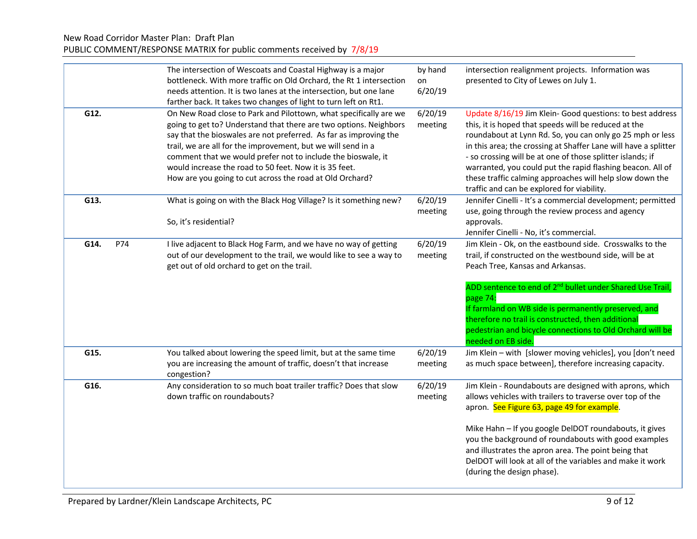| PUBLIC COMMENT/RESPONSE MATRIX for public comments received by 7/8/19 |  |
|-----------------------------------------------------------------------|--|
|-----------------------------------------------------------------------|--|

|      |     | The intersection of Wescoats and Coastal Highway is a major         | by hand | intersection realignment projects. Information was                    |
|------|-----|---------------------------------------------------------------------|---------|-----------------------------------------------------------------------|
|      |     | bottleneck. With more traffic on Old Orchard, the Rt 1 intersection | on      | presented to City of Lewes on July 1.                                 |
|      |     | needs attention. It is two lanes at the intersection, but one lane  | 6/20/19 |                                                                       |
|      |     | farther back. It takes two changes of light to turn left on Rt1.    |         |                                                                       |
| G12. |     | On New Road close to Park and Pilottown, what specifically are we   | 6/20/19 | Update 8/16/19 Jim Klein- Good questions: to best address             |
|      |     | going to get to? Understand that there are two options. Neighbors   | meeting | this, it is hoped that speeds will be reduced at the                  |
|      |     | say that the bioswales are not preferred. As far as improving the   |         | roundabout at Lynn Rd. So, you can only go 25 mph or less             |
|      |     | trail, we are all for the improvement, but we will send in a        |         | in this area; the crossing at Shaffer Lane will have a splitter       |
|      |     | comment that we would prefer not to include the bioswale, it        |         | - so crossing will be at one of those splitter islands; if            |
|      |     | would increase the road to 50 feet. Now it is 35 feet.              |         | warranted, you could put the rapid flashing beacon. All of            |
|      |     | How are you going to cut across the road at Old Orchard?            |         | these traffic calming approaches will help slow down the              |
|      |     |                                                                     |         | traffic and can be explored for viability.                            |
| G13. |     | What is going on with the Black Hog Village? Is it something new?   | 6/20/19 | Jennifer Cinelli - It's a commercial development; permitted           |
|      |     |                                                                     |         |                                                                       |
|      |     | So, it's residential?                                               | meeting | use, going through the review process and agency                      |
|      |     |                                                                     |         | approvals.                                                            |
|      |     |                                                                     |         | Jennifer Cinelli - No, it's commercial.                               |
| G14. | P74 | I live adjacent to Black Hog Farm, and we have no way of getting    | 6/20/19 | Jim Klein - Ok, on the eastbound side. Crosswalks to the              |
|      |     | out of our development to the trail, we would like to see a way to  | meeting | trail, if constructed on the westbound side, will be at               |
|      |     | get out of old orchard to get on the trail.                         |         | Peach Tree, Kansas and Arkansas.                                      |
|      |     |                                                                     |         |                                                                       |
|      |     |                                                                     |         | ADD sentence to end of 2 <sup>nd</sup> bullet under Shared Use Trail, |
|      |     |                                                                     |         | page 74:                                                              |
|      |     |                                                                     |         | If farmland on WB side is permanently preserved, and                  |
|      |     |                                                                     |         | therefore no trail is constructed, then additional                    |
|      |     |                                                                     |         | pedestrian and bicycle connections to Old Orchard will be             |
|      |     |                                                                     |         | needed on EB side.                                                    |
| G15. |     | You talked about lowering the speed limit, but at the same time     | 6/20/19 | Jim Klein - with [slower moving vehicles], you [don't need            |
|      |     | you are increasing the amount of traffic, doesn't that increase     | meeting | as much space between], therefore increasing capacity.                |
|      |     | congestion?                                                         |         |                                                                       |
| G16. |     | Any consideration to so much boat trailer traffic? Does that slow   | 6/20/19 | Jim Klein - Roundabouts are designed with aprons, which               |
|      |     | down traffic on roundabouts?                                        | meeting | allows vehicles with trailers to traverse over top of the             |
|      |     |                                                                     |         | apron. See Figure 63, page 49 for example.                            |
|      |     |                                                                     |         |                                                                       |
|      |     |                                                                     |         | Mike Hahn - If you google DelDOT roundabouts, it gives                |
|      |     |                                                                     |         | you the background of roundabouts with good examples                  |
|      |     |                                                                     |         | and illustrates the apron area. The point being that                  |
|      |     |                                                                     |         | DelDOT will look at all of the variables and make it work             |
|      |     |                                                                     |         | (during the design phase).                                            |
|      |     |                                                                     |         |                                                                       |
|      |     |                                                                     |         |                                                                       |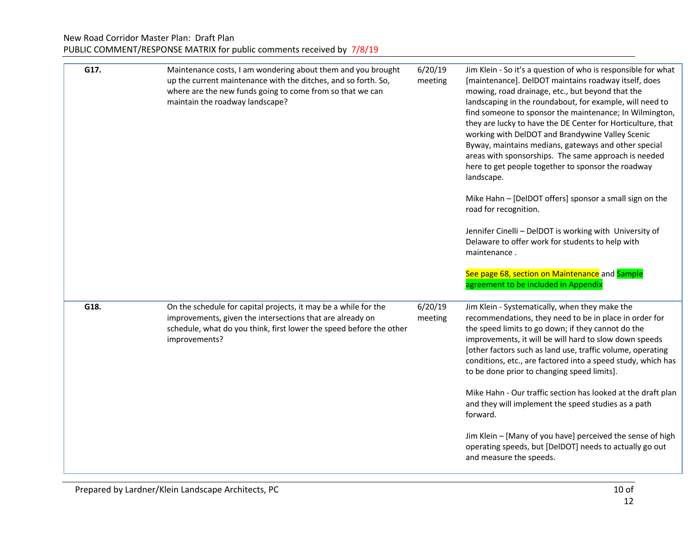| G17. | Maintenance costs, I am wondering about them and you brought<br>up the current maintenance with the ditches, and so forth. So,<br>where are the new funds going to come from so that we can<br>maintain the roadway landscape? | 6/20/19<br>meeting | Jim Klein - So it's a question of who is responsible for what<br>[maintenance]. DelDOT maintains roadway itself, does<br>mowing, road drainage, etc., but beyond that the<br>landscaping in the roundabout, for example, will need to<br>find someone to sponsor the maintenance; In Wilmington,<br>they are lucky to have the DE Center for Horticulture, that<br>working with DelDOT and Brandywine Valley Scenic<br>Byway, maintains medians, gateways and other special<br>areas with sponsorships. The same approach is needed<br>here to get people together to sponsor the roadway<br>landscape.<br>Mike Hahn - [DelDOT offers] sponsor a small sign on the<br>road for recognition.<br>Jennifer Cinelli - DelDOT is working with University of<br>Delaware to offer work for students to help with<br>maintenance.<br>See page 68, section on Maintenance and Sample<br>agreement to be included in Appendix |
|------|--------------------------------------------------------------------------------------------------------------------------------------------------------------------------------------------------------------------------------|--------------------|----------------------------------------------------------------------------------------------------------------------------------------------------------------------------------------------------------------------------------------------------------------------------------------------------------------------------------------------------------------------------------------------------------------------------------------------------------------------------------------------------------------------------------------------------------------------------------------------------------------------------------------------------------------------------------------------------------------------------------------------------------------------------------------------------------------------------------------------------------------------------------------------------------------------|
| G18. | On the schedule for capital projects, it may be a while for the<br>improvements, given the intersections that are already on<br>schedule, what do you think, first lower the speed before the other<br>improvements?           | 6/20/19<br>meeting | Jim Klein - Systematically, when they make the<br>recommendations, they need to be in place in order for<br>the speed limits to go down; if they cannot do the<br>improvements, it will be will hard to slow down speeds<br>[other factors such as land use, traffic volume, operating<br>conditions, etc., are factored into a speed study, which has<br>to be done prior to changing speed limits].<br>Mike Hahn - Our traffic section has looked at the draft plan<br>and they will implement the speed studies as a path<br>forward.<br>Jim Klein - [Many of you have] perceived the sense of high<br>operating speeds, but [DelDOT] needs to actually go out<br>and measure the speeds.                                                                                                                                                                                                                         |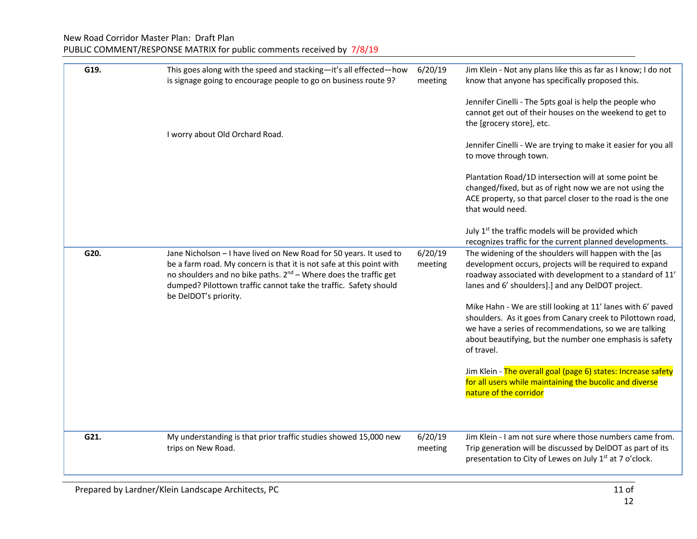| G19. | This goes along with the speed and stacking-it's all effected-how<br>is signage going to encourage people to go on business route 9?                                                                                                                                                                             | 6/20/19<br>meeting | Jim Klein - Not any plans like this as far as I know; I do not<br>know that anyone has specifically proposed this.                                                                                                                                            |
|------|------------------------------------------------------------------------------------------------------------------------------------------------------------------------------------------------------------------------------------------------------------------------------------------------------------------|--------------------|---------------------------------------------------------------------------------------------------------------------------------------------------------------------------------------------------------------------------------------------------------------|
|      | I worry about Old Orchard Road.                                                                                                                                                                                                                                                                                  |                    | Jennifer Cinelli - The 5pts goal is help the people who<br>cannot get out of their houses on the weekend to get to<br>the [grocery store], etc.                                                                                                               |
|      |                                                                                                                                                                                                                                                                                                                  |                    | Jennifer Cinelli - We are trying to make it easier for you all<br>to move through town.                                                                                                                                                                       |
|      |                                                                                                                                                                                                                                                                                                                  |                    | Plantation Road/1D intersection will at some point be<br>changed/fixed, but as of right now we are not using the<br>ACE property, so that parcel closer to the road is the one<br>that would need.                                                            |
|      |                                                                                                                                                                                                                                                                                                                  |                    | July 1 <sup>st</sup> the traffic models will be provided which<br>recognizes traffic for the current planned developments.                                                                                                                                    |
| G20. | Jane Nicholson - I have lived on New Road for 50 years. It used to<br>be a farm road. My concern is that it is not safe at this point with<br>no shoulders and no bike paths. $2^{nd}$ – Where does the traffic get<br>dumped? Pilottown traffic cannot take the traffic. Safety should<br>be DelDOT's priority. | 6/20/19<br>meeting | The widening of the shoulders will happen with the [as<br>development occurs, projects will be required to expand<br>roadway associated with development to a standard of 11'<br>lanes and 6' shoulders].] and any DelDOT project.                            |
|      |                                                                                                                                                                                                                                                                                                                  |                    | Mike Hahn - We are still looking at 11' lanes with 6' paved<br>shoulders. As it goes from Canary creek to Pilottown road,<br>we have a series of recommendations, so we are talking<br>about beautifying, but the number one emphasis is safety<br>of travel. |
|      |                                                                                                                                                                                                                                                                                                                  |                    | Jim Klein - The overall goal (page 6) states: Increase safety<br>for all users while maintaining the bucolic and diverse<br>nature of the corridor                                                                                                            |
| G21. | My understanding is that prior traffic studies showed 15,000 new                                                                                                                                                                                                                                                 | 6/20/19            | Jim Klein - I am not sure where those numbers came from.                                                                                                                                                                                                      |
|      | trips on New Road.                                                                                                                                                                                                                                                                                               | meeting            | Trip generation will be discussed by DelDOT as part of its<br>presentation to City of Lewes on July 1st at 7 o'clock.                                                                                                                                         |
|      |                                                                                                                                                                                                                                                                                                                  |                    |                                                                                                                                                                                                                                                               |